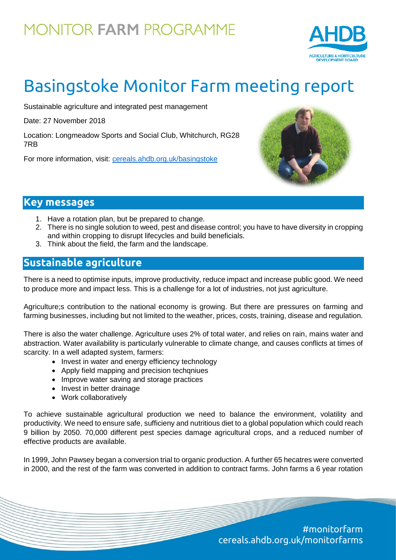# **MONITOR FARM PROGRAMME**



# Basingstoke Monitor Farm meeting report

Sustainable agriculture and integrated pest management

Date: 27 November 2018

Location: Longmeadow Sports and Social Club, Whitchurch, RG28 7RB

For more information, visit: [cereals.ahdb.org.uk/b](https://cereals.ahdb.org.uk/get-involved/monitorfarms/saltburn-monitor-farm.aspx)asingstoke



### **Key messages**

- 1. Have a rotation plan, but be prepared to change.
- 2. There is no single solution to weed, pest and disease control; you have to have diversity in cropping and within cropping to disrupt lifecycles and build beneficials.
- 3. Think about the field, the farm and the landscape.

### **Sustainable agriculture**

There is a need to optimise inputs, improve productivity, reduce impact and increase public good. We need to produce more and impact less. This is a challenge for a lot of industries, not just agriculture.

Agriculture;s contribution to the national economy is growing. But there are pressures on farming and farming businesses, including but not limited to the weather, prices, costs, training, disease and regulation.

There is also the water challenge. Agriculture uses 2% of total water, and relies on rain, mains water and abstraction. Water availability is particularly vulnerable to climate change, and causes conflicts at times of scarcity. In a well adapted system, farmers:

- Invest in water and energy efficiency technology
- Apply field mapping and precision techqniues
- Improve water saving and storage practices
- Invest in better drainage
- Work collaboratively

To achieve sustainable agricultural production we need to balance the environment, volatility and productivity. We need to ensure safe, sufficieny and nutritious diet to a global population which could reach 9 billion by 2050. 70,000 different pest species damage agricultural crops, and a reduced number of effective products are available.

In 1999, John Pawsey began a conversion trial to organic production. A further 65 hecatres were converted in 2000, and the rest of the farm was converted in addition to contract farms. John farms a 6 year rotation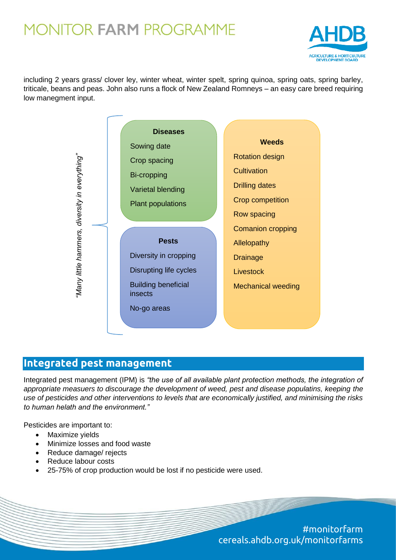### **MONITOR FARM PROGRAMME**



including 2 years grass/ clover ley, winter wheat, winter spelt, spring quinoa, spring oats, spring barley, triticale, beans and peas. John also runs a flock of New Zealand Romneys – an easy care breed requiring low manegment input.



#### **Integrated pest management**

Integrated pest management (IPM) is *"the use of all available plant protection methods, the integration of appropriate measuers to discourage the development of weed, pest and disease populatins, keeping the use of pesticides and other interventions to levels that are economically justified, and minimising the risks to human helath and the environment."*

Pesticides are important to:

- Maximize yields
- Minimize losses and food waste
- Reduce damage/ rejects
- Reduce labour costs
- 25-75% of crop production would be lost if no pesticide were used.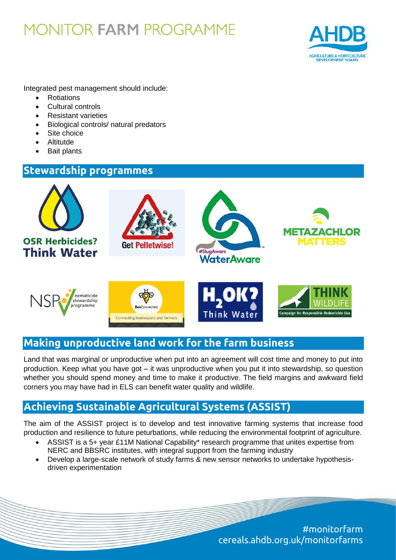## **MONITOR FARM PROGRAMME**



Integrated pest management should include:

- **Rotiations**
- Cultural controls
- Resistant varieties
- Biological controls/ natural predators
- Site choice
- Altitutde
- Bait plants

#### **Stewardship programmes**



### **Making unproductive land work for the farm business**

Land that was marginal or unproductive when put into an agreement will cost time and money to put into production. Keep what you have got – it was unproductive when you put it into stewardship, so question whether you should spend money and time to make it productive. The field margins and awkward field corners you may have had in ELS can benefit water quality and wildlife.

### **Achieving Sustainable Agricultural Systems (ASSIST)**

The aim of the ASSIST project is to develop and test innovative farming systems that increase food production and resilience to future peturbations, while reducing the environmental footprint of agriculture.

- ASSIST is a 5+ year £11M National Capability\* research programme that unites expertise from NERC and BBSRC institutes, with integral support from the farming industry
- Develop a large-scale network of study farms & new sensor networks to undertake hypothesisdriven experimentation